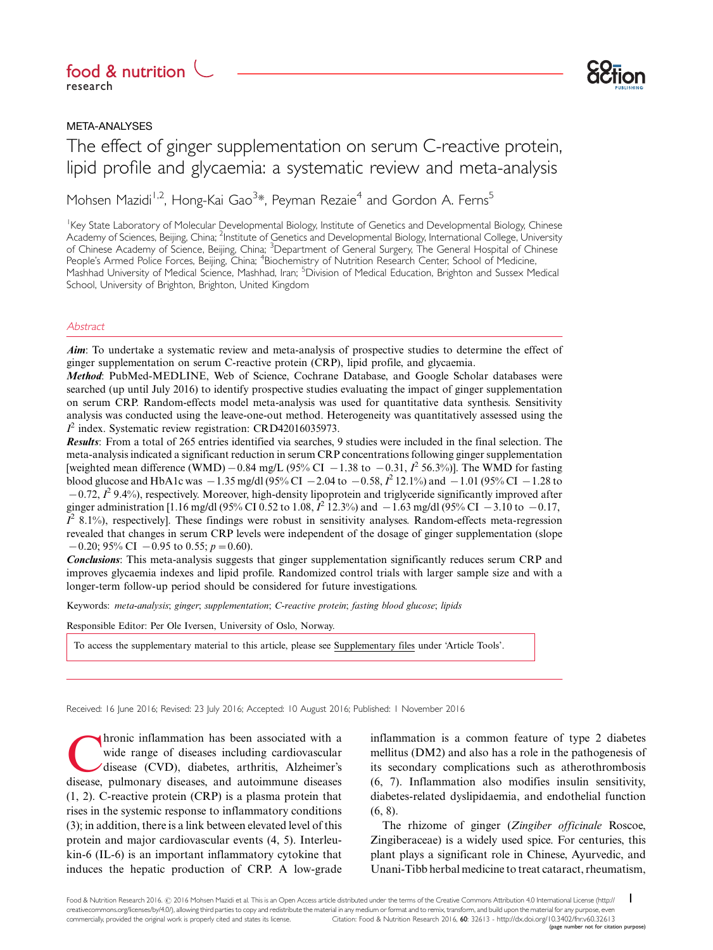# research



# META-ANALYSES

The effect of ginger supplementation on serum C-reactive protein, lipid profile and glycaemia: a systematic review and meta-analysis Food & nutrition ( )<br>
Fesearch<br>
META-ANALYSES<br>
The effect of ginger supplementation on serum C-reactive protein,

Mohsen Mazidi<sup>1,2</sup>, Hong-Kai Gao<sup>3</sup>[\\*](#page-8-0), Peyman Rezaie<sup>4</sup> and Gordon A. Ferns<sup>5</sup>

Key State Laboratory of Molecular Developmental Biology, Institute of Genetics and Developmental Biology, Chinese Academy of Sciences, Beijing, China; <sup>2</sup>Institute of Genetics and Developmental Biology, International College, University of Chinese Academy of Science, Beijing, China; <sup>3</sup>Department of General Surgery, The General Hospital of Chinese People's Armed Police Forces, Beijing, China; <sup>4</sup>Biochemistry of Nutrition Research Center, School of Medicine, Mashhad University of Medical Science, Mashhad, Iran; <sup>5</sup>Division of Medical Education, Brighton and Sussex Medical School, University of Brighton, Brighton, United Kingdom

## **Abstract**

Aim: To undertake a systematic review and meta-analysis of prospective studies to determine the effect of ginger supplementation on serum C-reactive protein (CRP), lipid profile, and glycaemia.

Method: PubMed-MEDLINE, Web of Science, Cochrane Database, and Google Scholar databases were searched (up until July 2016) to identify prospective studies evaluating the impact of ginger supplementation on serum CRP. Random-effects model meta-analysis was used for quantitative data synthesis. Sensitivity analysis was conducted using the leave-one-out method. Heterogeneity was quantitatively assessed using the  $I^2$  index. Systematic review registration: CRD42016035973.

Results: From a total of 265 entries identified via searches, 9 studies were included in the final selection. The meta-analysis indicated a significant reduction in serum CRP concentrations following ginger supplementation [weighted mean difference (WMD)  $-0.84$  mg/L (95% CI  $-1.38$  to  $-0.31$ ,  $I<sup>2</sup>$  56.3%)]. The WMD for fasting blood glucose and HbA1c was  $-1.35$  mg/dl (95% CI  $-2.04$  to  $-0.58$ ,  $I^2$  12.1%) and  $-1.01$  (95% CI  $-1.28$  to  $-0.72$ ,  $I^2$  9.4%), respectively. Moreover, high-density lipoprotein and triglyceride significantly improved after ginger administration [1.16 mg/dl (95% CI 0.52 to 1.08,  $I^2$  12.3%) and  $-1.63$  mg/dl (95% CI  $-3.10$  to  $-0.17$ ,  $\overline{I}^2$  8.1%), respectively]. These findings were robust in sensitivity analyses. Random-effects meta-regression revealed that changes in serum CRP levels were independent of the dosage of ginger supplementation (slope  $-0.20$ ; 95% CI  $-0.95$  to 0.55;  $p = 0.60$ ).

Conclusions: This meta-analysis suggests that ginger supplementation significantly reduces serum CRP and improves glycaemia indexes and lipid profile. Randomized control trials with larger sample size and with a longer-term follow-up period should be considered for future investigations.

Keywords: meta-analysis; ginger; supplementation; C-reactive protein; fasting blood glucose; lipids

Responsible Editor: Per Ole Iversen, University of Oslo, Norway.

[To access the supplementary material to this article, please see](http://www.foodandnutritionresearch.net/index.php/fnr/rt/suppFiles/32613/0) [Supplementary files under 'Article Tools'.](http://www.foodandnutritionresearch.net/index.php/fnr/rt/suppFiles/32613/0)

Received: 16 June 2016; Revised: 23 July 2016; Accepted: 10 August 2016; Published: 1 November 2016

hronic inflammation has been associated with a wide range of diseases including cardiovascular disease (CVD), diabetes, arthritis, Alzheimer's disease, pulmonary diseases, and autoimmune diseases (1, 2). C-reactive protein (CRP) is a plasma protein that rises in the systemic response to inflammatory conditions (3); in addition, there is a link between elevated level of this protein and major cardiovascular events (4, 5). Interleukin-6 (IL-6) is an important inflammatory cytokine that induces the hepatic production of CRP. A low-grade

inflammation is a common feature of type 2 diabetes mellitus (DM2) and also has a role in the pathogenesis of its secondary complications such as atherothrombosis (6, 7). Inflammation also modifies insulin sensitivity, diabetes-related dyslipidaemia, and endothelial function (6, 8).

The rhizome of ginger (Zingiber officinale Roscoe, Zingiberaceae) is a widely used spice. For centuries, this plant plays a significant role in Chinese, Ayurvedic, and Unani-Tibb herbal medicine to treat cataract, rheumatism,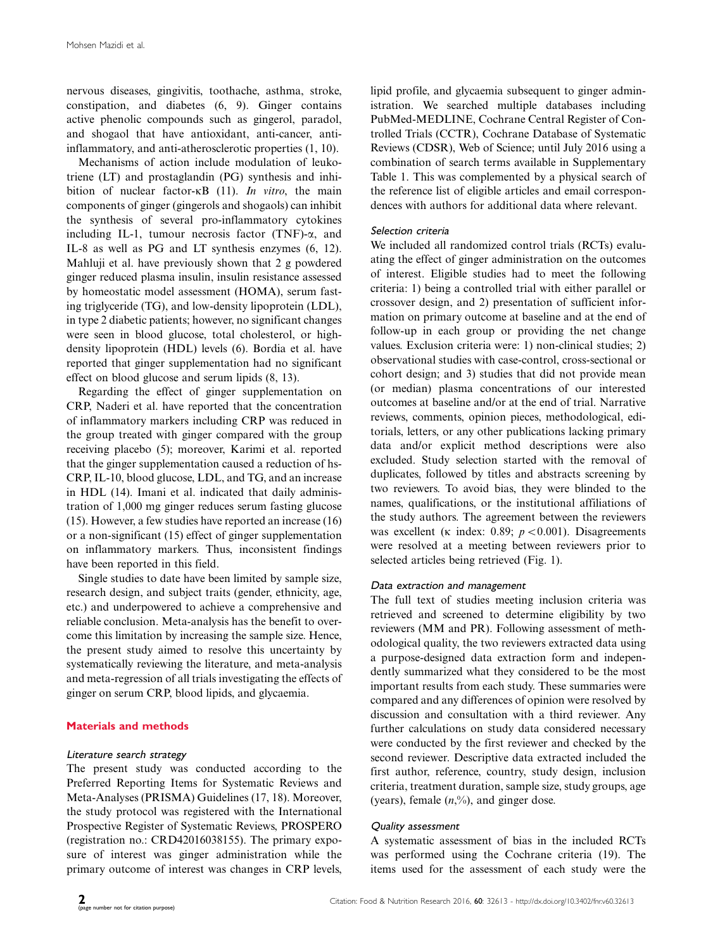nervous diseases, gingivitis, toothache, asthma, stroke, constipation, and diabetes (6, 9). Ginger contains active phenolic compounds such as gingerol, paradol, and shogaol that have antioxidant, anti-cancer, antiinflammatory, and anti-atherosclerotic properties (1, 10).

Mechanisms of action include modulation of leukotriene (LT) and prostaglandin (PG) synthesis and inhibition of nuclear factor- $\kappa$ B (11). In vitro, the main components of ginger (gingerols and shogaols) can inhibit the synthesis of several pro-inflammatory cytokines including IL-1, tumour necrosis factor (TNF)- $\alpha$ , and IL-8 as well as PG and LT synthesis enzymes (6, 12). Mahluji et al. have previously shown that 2 g powdered ginger reduced plasma insulin, insulin resistance assessed by homeostatic model assessment (HOMA), serum fasting triglyceride (TG), and low-density lipoprotein (LDL), in type 2 diabetic patients; however, no significant changes were seen in blood glucose, total cholesterol, or highdensity lipoprotein (HDL) levels (6). Bordia et al. have reported that ginger supplementation had no significant effect on blood glucose and serum lipids (8, 13).

Regarding the effect of ginger supplementation on CRP, Naderi et al. have reported that the concentration of inflammatory markers including CRP was reduced in the group treated with ginger compared with the group receiving placebo (5); moreover, Karimi et al. reported that the ginger supplementation caused a reduction of hs-CRP, IL-10, blood glucose, LDL, and TG, and an increase in HDL (14). Imani et al. indicated that daily administration of 1,000 mg ginger reduces serum fasting glucose (15). However, a few studies have reported an increase (16) or a non-significant (15) effect of ginger supplementation on inflammatory markers. Thus, inconsistent findings have been reported in this field.

Single studies to date have been limited by sample size, research design, and subject traits (gender, ethnicity, age, etc.) and underpowered to achieve a comprehensive and reliable conclusion. Meta-analysis has the benefit to overcome this limitation by increasing the sample size. Hence, the present study aimed to resolve this uncertainty by systematically reviewing the literature, and meta-analysis and meta-regression of all trials investigating the effects of ginger on serum CRP, blood lipids, and glycaemia.

# Materials and methods

## Literature search strategy

The present study was conducted according to the Preferred Reporting Items for Systematic Reviews and Meta-Analyses (PRISMA) Guidelines (17, 18). Moreover, the study protocol was registered with the International Prospective Register of Systematic Reviews, PROSPERO (registration no.: CRD42016038155). The primary exposure of interest was ginger administration while the primary outcome of interest was changes in CRP levels,

lipid profile, and glycaemia subsequent to ginger administration. We searched multiple databases including PubMed-MEDLINE, Cochrane Central Register of Controlled Trials (CCTR), Cochrane Database of Systematic Reviews (CDSR), Web of Science; until July 2016 using a combination of search terms available in [Supplementary](http://www.foodandnutritionresearch.net/index.php/fnr/rt/suppFiles/32613/0) [Table 1](http://www.foodandnutritionresearch.net/index.php/fnr/rt/suppFiles/32613/0). This was complemented by a physical search of the reference list of eligible articles and email correspondences with authors for additional data where relevant.

# Selection criteria

We included all randomized control trials (RCTs) evaluating the effect of ginger administration on the outcomes of interest. Eligible studies had to meet the following criteria: 1) being a controlled trial with either parallel or crossover design, and 2) presentation of sufficient information on primary outcome at baseline and at the end of follow-up in each group or providing the net change values. Exclusion criteria were: 1) non-clinical studies; 2) observational studies with case-control, cross-sectional or cohort design; and 3) studies that did not provide mean (or median) plasma concentrations of our interested outcomes at baseline and/or at the end of trial. Narrative reviews, comments, opinion pieces, methodological, editorials, letters, or any other publications lacking primary data and/or explicit method descriptions were also excluded. Study selection started with the removal of duplicates, followed by titles and abstracts screening by two reviewers. To avoid bias, they were blinded to the names, qualifications, or the institutional affiliations of the study authors. The agreement between the reviewers was excellent ( $\kappa$  index: 0.89;  $p < 0.001$ ). Disagreements were resolved at a meeting between reviewers prior to selected articles being retrieved (Fig. 1).

# Data extraction and management

The full text of studies meeting inclusion criteria was retrieved and screened to determine eligibility by two reviewers (MM and PR). Following assessment of methodological quality, the two reviewers extracted data using a purpose-designed data extraction form and independently summarized what they considered to be the most important results from each study. These summaries were compared and any differences of opinion were resolved by discussion and consultation with a third reviewer. Any further calculations on study data considered necessary were conducted by the first reviewer and checked by the second reviewer. Descriptive data extracted included the first author, reference, country, study design, inclusion criteria, treatment duration, sample size, study groups, age (years), female  $(n, %)$ , and ginger dose.

## Quality assessment

A systematic assessment of bias in the included RCTs was performed using the Cochrane criteria (19). The items used for the assessment of each study were the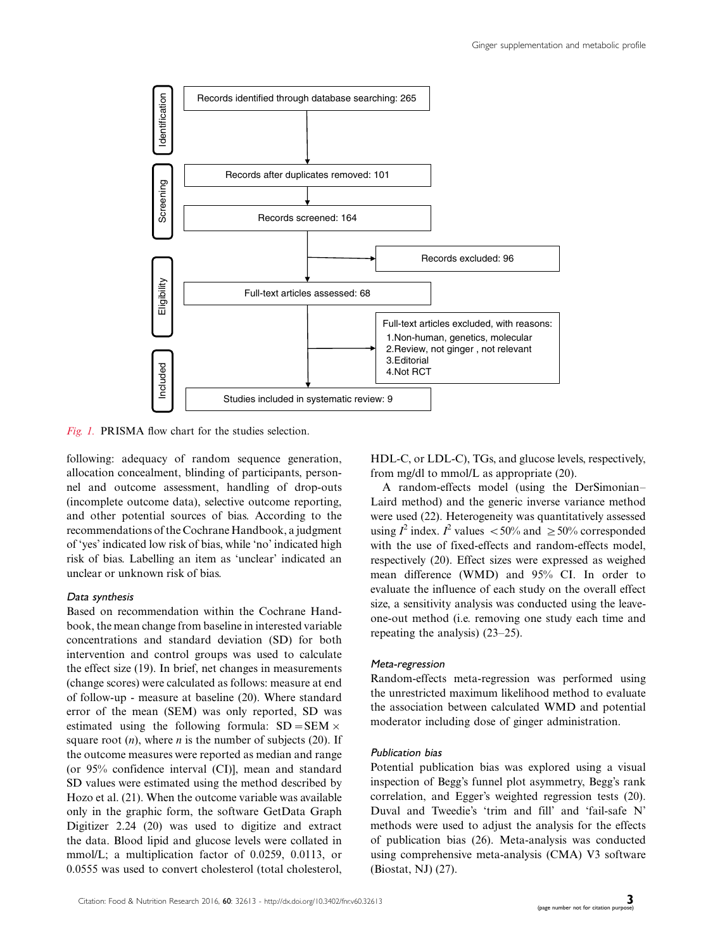

Fig. 1. PRISMA flow chart for the studies selection.

following: adequacy of random sequence generation, allocation concealment, blinding of participants, personnel and outcome assessment, handling of drop-outs (incomplete outcome data), selective outcome reporting, and other potential sources of bias. According to the recommendations of the Cochrane Handbook, a judgment of 'yes' indicated low risk of bias, while 'no' indicated high risk of bias. Labelling an item as 'unclear' indicated an unclear or unknown risk of bias.

## Data synthesis

Based on recommendation within the Cochrane Handbook, the mean change from baseline in interested variable concentrations and standard deviation (SD) for both intervention and control groups was used to calculate the effect size (19). In brief, net changes in measurements (change scores) were calculated as follows: measure at end of follow-up - measure at baseline (20). Where standard error of the mean (SEM) was only reported, SD was estimated using the following formula:  $SD = SEM \times$ square root  $(n)$ , where *n* is the number of subjects (20). If the outcome measures were reported as median and range (or 95% confidence interval (CI)], mean and standard SD values were estimated using the method described by Hozo et al. (21). When the outcome variable was available only in the graphic form, the software GetData Graph Digitizer 2.24 (20) was used to digitize and extract the data. Blood lipid and glucose levels were collated in mmol/L; a multiplication factor of 0.0259, 0.0113, or 0.0555 was used to convert cholesterol (total cholesterol,

HDL-C, or LDL-C), TGs, and glucose levels, respectively, from mg/dl to mmol/L as appropriate (20).

A random-effects model (using the DerSimonian Laird method) and the generic inverse variance method were used (22). Heterogeneity was quantitatively assessed using  $I^2$  index.  $I^2$  values  $\lt 50\%$  and  $\ge 50\%$  corresponded with the use of fixed-effects and random-effects model, respectively (20). Effect sizes were expressed as weighed mean difference (WMD) and 95% CI. In order to evaluate the influence of each study on the overall effect size, a sensitivity analysis was conducted using the leaveone-out method (i.e. removing one study each time and repeating the analysis)  $(23-25)$ .

### Meta-regression

Random-effects meta-regression was performed using the unrestricted maximum likelihood method to evaluate the association between calculated WMD and potential moderator including dose of ginger administration.

## Publication bias

Potential publication bias was explored using a visual inspection of Begg's funnel plot asymmetry, Begg's rank correlation, and Egger's weighted regression tests (20). Duval and Tweedie's 'trim and fill' and 'fail-safe N' methods were used to adjust the analysis for the effects of publication bias (26). Meta-analysis was conducted using comprehensive meta-analysis (CMA) V3 software (Biostat, NJ) (27).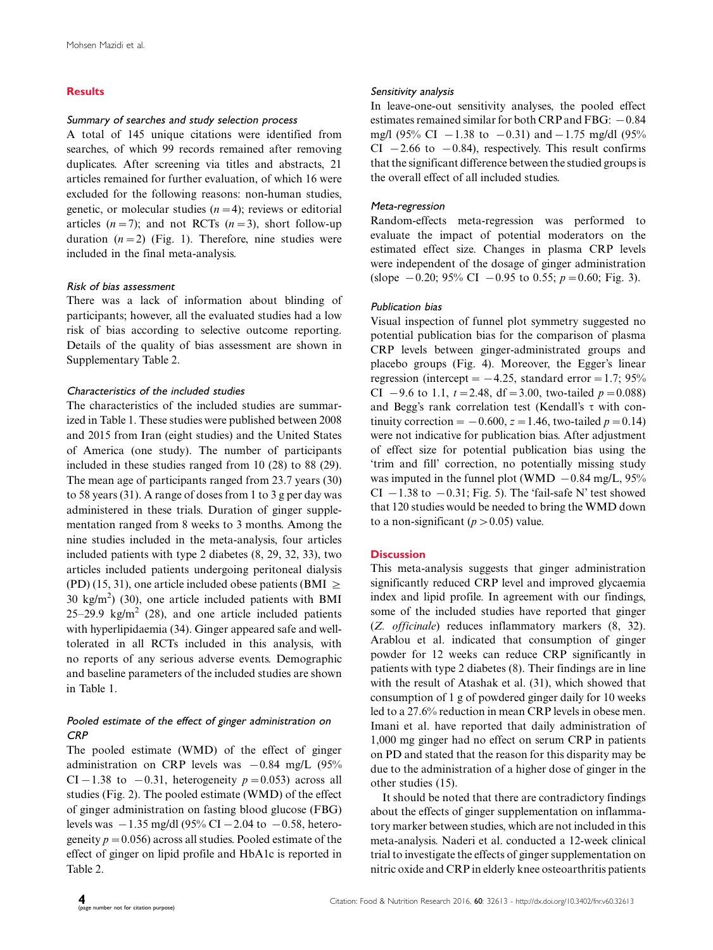# **Results**

# Summary of searches and study selection process

A total of 145 unique citations were identified from searches, of which 99 records remained after removing duplicates. After screening via titles and abstracts, 21 articles remained for further evaluation, of which 16 were excluded for the following reasons: non-human studies, genetic, or molecular studies  $(n=4)$ ; reviews or editorial articles  $(n=7)$ ; and not RCTs  $(n=3)$ , short follow-up duration  $(n=2)$  (Fig. 1). Therefore, nine studies were included in the final meta-analysis.

# Risk of bias assessment

There was a lack of information about blinding of participants; however, all the evaluated studies had a low risk of bias according to selective outcome reporting. Details of the quality of bias assessment are shown in [Supplementary Table 2.](http://www.foodandnutritionresearch.net/index.php/fnr/rt/suppFiles/32613/0)

# Characteristics of the included studies

The characteristics of the included studies are summarized in Table 1. These studies were published between 2008 and 2015 from Iran (eight studies) and the United States of America (one study). The number of participants included in these studies ranged from 10 (28) to 88 (29). The mean age of participants ranged from 23.7 years (30) to 58 years (31). A range of doses from 1 to 3 g per day was administered in these trials. Duration of ginger supplementation ranged from 8 weeks to 3 months. Among the nine studies included in the meta-analysis, four articles included patients with type 2 diabetes (8, 29, 32, 33), two articles included patients undergoing peritoneal dialysis (PD) (15, 31), one article included obese patients (BMI  $\geq$ 30 kg/m<sup>2</sup>) (30), one article included patients with BMI 25-29.9 kg/m<sup>2</sup> (28), and one article included patients with hyperlipidaemia (34). Ginger appeared safe and welltolerated in all RCTs included in this analysis, with no reports of any serious adverse events. Demographic and baseline parameters of the included studies are shown in Table 1.

# Pooled estimate of the effect of ginger administration on **CRP**

The pooled estimate (WMD) of the effect of ginger administration on CRP levels was  $-0.84$  mg/L (95% CI – 1.38 to –0.31, heterogeneity  $p = 0.053$ ) across all studies (Fig. 2). The pooled estimate (WMD) of the effect of ginger administration on fasting blood glucose (FBG) levels was  $-1.35$  mg/dl (95% CI  $-2.04$  to  $-0.58$ , heterogeneity  $p=0.056$ ) across all studies. Pooled estimate of the effect of ginger on lipid profile and HbA1c is reported in Table 2.

#### Sensitivity analysis

In leave-one-out sensitivity analyses, the pooled effect estimates remained similar for both  $\mathrm{CRP}$  and  $\mathrm{FBG:}-0.84$ mg/l (95% CI  $-1.38$  to  $-0.31$ ) and  $-1.75$  mg/dl (95%  $CI$   $-2.66$  to  $-0.84$ ), respectively. This result confirms that the significant difference between the studied groups is the overall effect of all included studies.

## Meta-regression

Random-effects meta-regression was performed to evaluate the impact of potential moderators on the estimated effect size. Changes in plasma CRP levels were independent of the dosage of ginger administration (slope  $-0.20$ ; 95% CI  $-0.95$  to 0.55;  $p = 0.60$ ; Fig. 3).

## Publication bias

Visual inspection of funnel plot symmetry suggested no potential publication bias for the comparison of plasma CRP levels between ginger-administrated groups and placebo groups (Fig. 4). Moreover, the Egger's linear regression (intercept  $= -4.25$ , standard error  $= 1.7$ ; 95% CI  $-9.6$  to 1.1,  $t = 2.48$ , df = 3.00, two-tailed  $p = 0.088$ ) and Begg's rank correlation test (Kendall's  $\tau$  with continuity correction =  $-0.600$ ,  $z = 1.46$ , two-tailed  $p = 0.14$ ) were not indicative for publication bias. After adjustment of effect size for potential publication bias using the 'trim and fill' correction, no potentially missing study was imputed in the funnel plot (WMD  $-0.84$  mg/L, 95%  $CI - 1.38$  to  $-0.31$ ; Fig. 5). The 'fail-safe N' test showed that 120 studies would be needed to bring the WMD down to a non-significant ( $p > 0.05$ ) value.

# **Discussion**

This meta-analysis suggests that ginger administration significantly reduced CRP level and improved glycaemia index and lipid profile. In agreement with our findings, some of the included studies have reported that ginger (Z. officinale) reduces inflammatory markers (8, 32). Arablou et al. indicated that consumption of ginger powder for 12 weeks can reduce CRP significantly in patients with type 2 diabetes (8). Their findings are in line with the result of Atashak et al. (31), which showed that consumption of 1 g of powdered ginger daily for 10 weeks led to a 27.6% reduction in mean CRP levels in obese men. Imani et al. have reported that daily administration of 1,000 mg ginger had no effect on serum CRP in patients on PD and stated that the reason for this disparity may be due to the administration of a higher dose of ginger in the other studies (15).

It should be noted that there are contradictory findings about the effects of ginger supplementation on inflammatory marker between studies, which are not included in this meta-analysis. Naderi et al. conducted a 12-week clinical trial to investigate the effects of ginger supplementation on nitric oxide and CRP in elderly knee osteoarthritis patients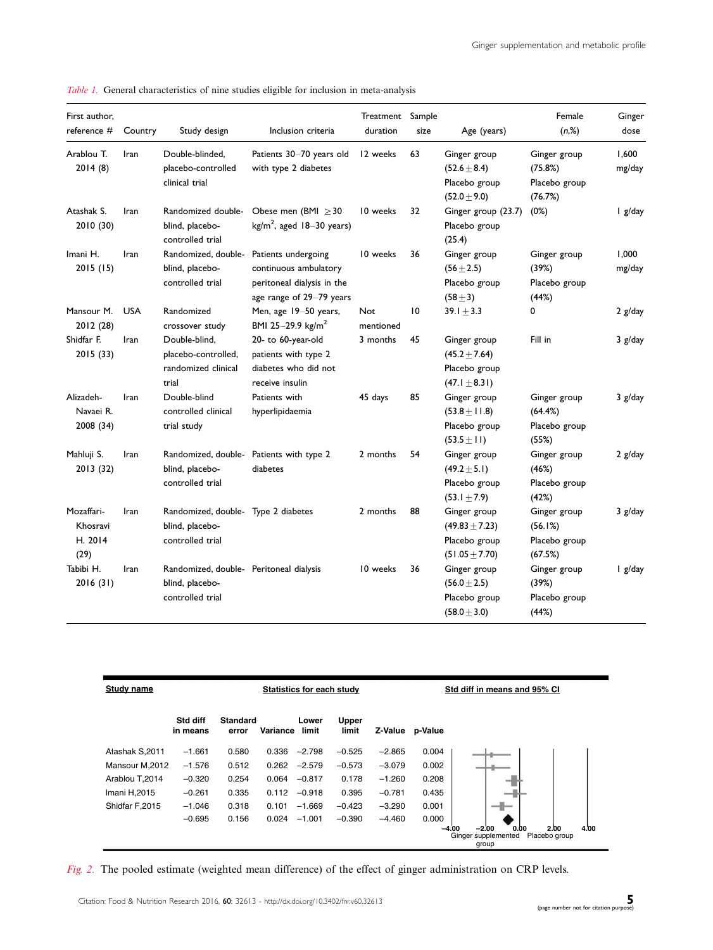| First author,<br>reference #              | Country    | Study design                                                                   | Inclusion criteria                                                                                     | Treatment<br>duration | Sample<br>size  | Age (years)                                                               | Female<br>(n,%)                                     | Ginger<br>dose  |
|-------------------------------------------|------------|--------------------------------------------------------------------------------|--------------------------------------------------------------------------------------------------------|-----------------------|-----------------|---------------------------------------------------------------------------|-----------------------------------------------------|-----------------|
| Arablou T.<br>2014(8)                     | Iran       | Double-blinded,<br>placebo-controlled<br>clinical trial                        | Patients 30-70 years old<br>with type 2 diabetes                                                       | 12 weeks              | 63              | Ginger group<br>$(52.6 \pm 8.4)$<br>Placebo group<br>$(52.0 \pm 9.0)$     | Ginger group<br>(75.8%)<br>Placebo group<br>(76.7%) | 1,600<br>mg/day |
| Atashak S.<br>2010 (30)                   | Iran       | Randomized double-<br>blind, placebo-<br>controlled trial                      | Obese men (BMI $\geq$ 30<br>$kg/m2$ , aged 18-30 years)                                                | 10 weeks              | 32              | Ginger group (23.7)<br>Placebo group<br>(25.4)                            | (0%)                                                | I g/day         |
| Imani H.<br>2015 (15)                     | Iran       | Randomized, double-<br>blind, placebo-<br>controlled trial                     | Patients undergoing<br>continuous ambulatory<br>peritoneal dialysis in the<br>age range of 29-79 years | 10 weeks              | 36              | Ginger group<br>$(56 \pm 2.5)$<br>Placebo group<br>$(58 + 3)$             | Ginger group<br>(39%)<br>Placebo group<br>(44%)     | 1,000<br>mg/day |
| Mansour M.<br>2012 (28)                   | <b>USA</b> | Randomized<br>crossover study                                                  | Men, age 19-50 years,<br>BMI 25-29.9 $\text{kg/m}^2$                                                   | Not<br>mentioned      | $\overline{10}$ | $39.1 \pm 3.3$                                                            | 0                                                   | $2$ g/day       |
| Shidfar F.<br>2015 (33)                   | Iran       | Double-blind,<br>placebo-controlled,<br>randomized clinical<br>trial           | 20- to 60-year-old<br>patients with type 2<br>diabetes who did not<br>receive insulin                  | 3 months              | 45              | Ginger group<br>$(45.2 \pm 7.64)$<br>Placebo group<br>$(47.1 \pm 8.31)$   | Fill in                                             | 3 g/day         |
| Alizadeh-<br>Navaei R.<br>2008 (34)       | Iran       | Double-blind<br>controlled clinical<br>trial study                             | Patients with<br>hyperlipidaemia                                                                       | 45 days               | 85              | Ginger group<br>$(53.8 \pm 11.8)$<br>Placebo group<br>$(53.5 \pm 11)$     | Ginger group<br>(64.4%)<br>Placebo group<br>(55%)   | 3 g/day         |
| Mahluji S.<br>2013 (32)                   | Iran       | blind, placebo-<br>controlled trial                                            | Randomized, double- Patients with type 2<br>diabetes                                                   | 2 months              | 54              | Ginger group<br>$(49.2 \pm 5.1)$<br>Placebo group<br>$(53.1 \pm 7.9)$     | Ginger group<br>(46%)<br>Placebo group<br>(42%)     | 2 g/day         |
| Mozaffari-<br>Khosravi<br>H. 2014<br>(29) | Iran       | Randomized, double- Type 2 diabetes<br>blind, placebo-<br>controlled trial     |                                                                                                        | 2 months              | 88              | Ginger group<br>$(49.83 \pm 7.23)$<br>Placebo group<br>$(51.05 \pm 7.70)$ | Ginger group<br>(56.1%)<br>Placebo group<br>(67.5%) | $3$ g/day       |
| Tabibi H.<br>2016 (31)                    | Iran       | Randomized, double- Peritoneal dialysis<br>blind, placebo-<br>controlled trial |                                                                                                        | 10 weeks              | 36              | Ginger group<br>$(56.0 \pm 2.5)$<br>Placebo group<br>$(58.0 \pm 3.0)$     | Ginger group<br>(39%)<br>Placebo group<br>(44%)     | $\lg$ /day      |

Table 1. General characteristics of nine studies eligible for inclusion in meta-analysis



Fig. 2. The pooled estimate (weighted mean difference) of the effect of ginger administration on CRP levels.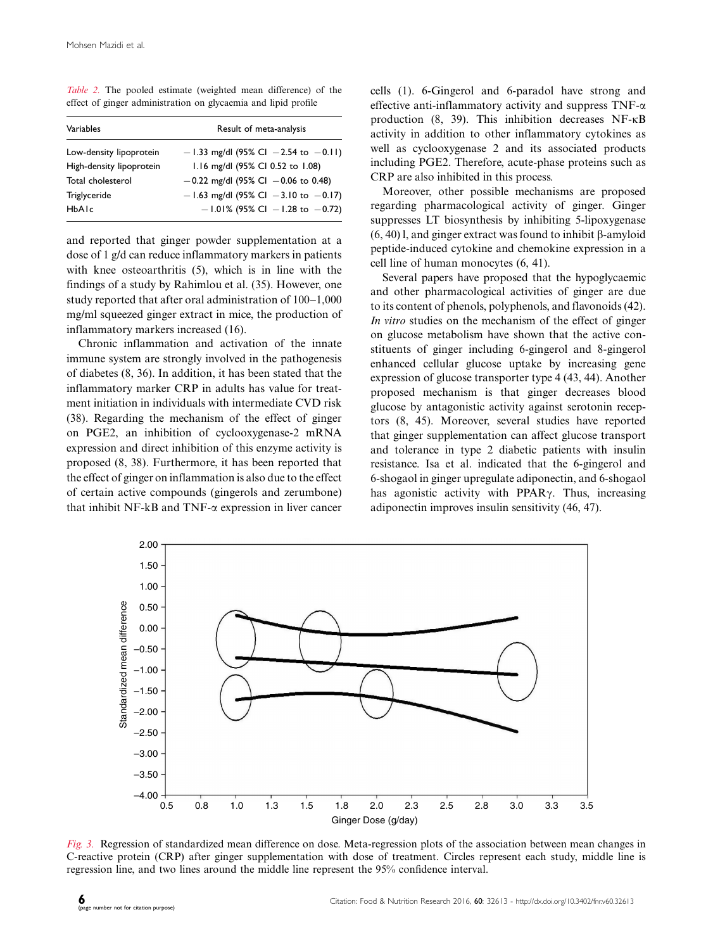Table 2. The pooled estimate (weighted mean difference) of the effect of ginger administration on glycaemia and lipid profile

| Variables                | Result of meta-analysis                    |
|--------------------------|--------------------------------------------|
| Low-density lipoprotein  | $-1.33$ mg/dl (95% Cl $-2.54$ to $-0.11$ ) |
| High-density lipoprotein | 1.16 mg/dl (95% Cl 0.52 to 1.08)           |
| Total cholesterol        | $-0.22$ mg/dl (95% Cl $-0.06$ to 0.48)     |
| Triglyceride             | $-1.63$ mg/dl (95% Cl $-3.10$ to $-0.17$ ) |
| HbAlc                    | $-1.01\%$ (95% CI $-1.28$ to $-0.72$ )     |

and reported that ginger powder supplementation at a dose of 1 g/d can reduce inflammatory markers in patients with knee osteoarthritis (5), which is in line with the findings of a study by Rahimlou et al. (35). However, one study reported that after oral administration of  $100-1,000$ mg/ml squeezed ginger extract in mice, the production of inflammatory markers increased (16).

Chronic inflammation and activation of the innate immune system are strongly involved in the pathogenesis of diabetes (8, 36). In addition, it has been stated that the inflammatory marker CRP in adults has value for treatment initiation in individuals with intermediate CVD risk (38). Regarding the mechanism of the effect of ginger on PGE2, an inhibition of cyclooxygenase-2 mRNA expression and direct inhibition of this enzyme activity is proposed (8, 38). Furthermore, it has been reported that the effect of ginger on inflammation is also due to the effect of certain active compounds (gingerols and zerumbone) that inhibit NF-kB and TNF- $\alpha$  expression in liver cancer cells (1). 6-Gingerol and 6-paradol have strong and effective anti-inflammatory activity and suppress  $TNF-\alpha$ production (8, 39). This inhibition decreases NF- $\kappa$ B activity in addition to other inflammatory cytokines as well as cyclooxygenase 2 and its associated products including PGE2. Therefore, acute-phase proteins such as CRP are also inhibited in this process.

Moreover, other possible mechanisms are proposed regarding pharmacological activity of ginger. Ginger suppresses LT biosynthesis by inhibiting 5-lipoxygenase  $(6, 40)$  l, and ginger extract was found to inhibit  $\beta$ -amyloid peptide-induced cytokine and chemokine expression in a cell line of human monocytes (6, 41).

Several papers have proposed that the hypoglycaemic and other pharmacological activities of ginger are due to its content of phenols, polyphenols, and flavonoids (42). In vitro studies on the mechanism of the effect of ginger on glucose metabolism have shown that the active constituents of ginger including 6-gingerol and 8-gingerol enhanced cellular glucose uptake by increasing gene expression of glucose transporter type 4 (43, 44). Another proposed mechanism is that ginger decreases blood glucose by antagonistic activity against serotonin receptors (8, 45). Moreover, several studies have reported that ginger supplementation can affect glucose transport and tolerance in type 2 diabetic patients with insulin resistance. Isa et al. indicated that the 6-gingerol and 6-shogaol in ginger upregulate adiponectin, and 6-shogaol has agonistic activity with PPAR $\gamma$ . Thus, increasing adiponectin improves insulin sensitivity (46, 47).



Fig. 3. Regression of standardized mean difference on dose. Meta-regression plots of the association between mean changes in C-reactive protein (CRP) after ginger supplementation with dose of treatment. Circles represent each study, middle line is regression line, and two lines around the middle line represent the 95% confidence interval.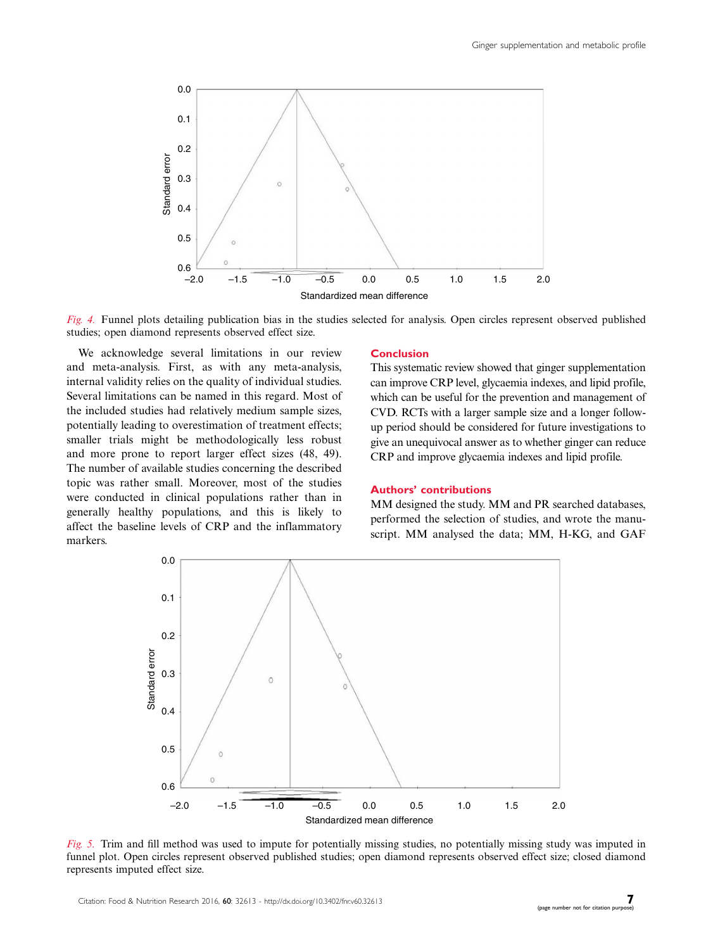

Fig. 4. Funnel plots detailing publication bias in the studies selected for analysis. Open circles represent observed published studies; open diamond represents observed effect size.

We acknowledge several limitations in our review and meta-analysis. First, as with any meta-analysis, internal validity relies on the quality of individual studies. Several limitations can be named in this regard. Most of the included studies had relatively medium sample sizes, potentially leading to overestimation of treatment effects; smaller trials might be methodologically less robust and more prone to report larger effect sizes (48, 49). The number of available studies concerning the described topic was rather small. Moreover, most of the studies were conducted in clinical populations rather than in generally healthy populations, and this is likely to affect the baseline levels of CRP and the inflammatory markers.

## **Conclusion**

This systematic review showed that ginger supplementation can improve CRP level, glycaemia indexes, and lipid profile, which can be useful for the prevention and management of CVD. RCTs with a larger sample size and a longer followup period should be considered for future investigations to give an unequivocal answer as to whether ginger can reduce CRP and improve glycaemia indexes and lipid profile.

# Authors' contributions

MM designed the study. MM and PR searched databases, performed the selection of studies, and wrote the manuscript. MM analysed the data; MM, H-KG, and GAF



Fig. 5. Trim and fill method was used to impute for potentially missing studies, no potentially missing study was imputed in funnel plot. Open circles represent observed published studies; open diamond represents observed effect size; closed diamond represents imputed effect size.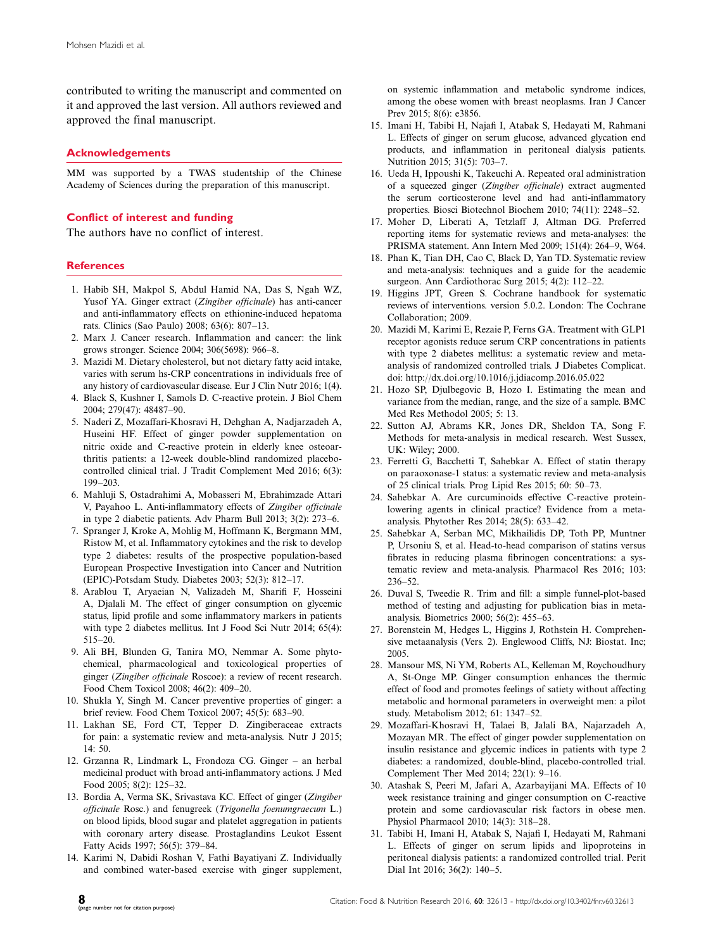contributed to writing the manuscript and commented on it and approved the last version. All authors reviewed and approved the final manuscript.

## Acknowledgements

MM was supported by a TWAS studentship of the Chinese Academy of Sciences during the preparation of this manuscript.

## Conflict of interest and funding

The authors have no conflict of interest.

#### References

- 1. Habib SH, Makpol S, Abdul Hamid NA, Das S, Ngah WZ, Yusof YA. Ginger extract (Zingiber officinale) has anti-cancer and anti-inflammatory effects on ethionine-induced hepatoma rats. Clinics (Sao Paulo) 2008; 63(6): 807-13.
- 2. Marx J. Cancer research. Inflammation and cancer: the link grows stronger. Science 2004; 306(5698): 966-8.
- 3. Mazidi M. Dietary cholesterol, but not dietary fatty acid intake, varies with serum hs-CRP concentrations in individuals free of any history of cardiovascular disease. Eur J Clin Nutr 2016; 1(4).
- 4. Black S, Kushner I, Samols D. C-reactive protein. J Biol Chem 2004; 279(47): 48487-90.
- 5. Naderi Z, Mozaffari-Khosravi H, Dehghan A, Nadjarzadeh A, Huseini HF. Effect of ginger powder supplementation on nitric oxide and C-reactive protein in elderly knee osteoarthritis patients: a 12-week double-blind randomized placebocontrolled clinical trial. J Tradit Complement Med 2016; 6(3): 199-203.
- 6. Mahluji S, Ostadrahimi A, Mobasseri M, Ebrahimzade Attari V, Payahoo L. Anti-inflammatory effects of Zingiber officinale in type 2 diabetic patients. Adv Pharm Bull 2013;  $3(2)$ :  $273-6$ .
- 7. Spranger J, Kroke A, Mohlig M, Hoffmann K, Bergmann MM, Ristow M, et al. Inflammatory cytokines and the risk to develop type 2 diabetes: results of the prospective population-based European Prospective Investigation into Cancer and Nutrition (EPIC)-Potsdam Study. Diabetes 2003; 52(3): 812-17.
- 8. Arablou T, Aryaeian N, Valizadeh M, Sharifi F, Hosseini A, Djalali M. The effect of ginger consumption on glycemic status, lipid profile and some inflammatory markers in patients with type 2 diabetes mellitus. Int J Food Sci Nutr 2014; 65(4): 51520.
- 9. Ali BH, Blunden G, Tanira MO, Nemmar A. Some phytochemical, pharmacological and toxicological properties of ginger (Zingiber officinale Roscoe): a review of recent research. Food Chem Toxicol 2008; 46(2): 409-20.
- 10. Shukla Y, Singh M. Cancer preventive properties of ginger: a brief review. Food Chem Toxicol 2007;  $45(5)$ : 683-90.
- 11. Lakhan SE, Ford CT, Tepper D. Zingiberaceae extracts for pain: a systematic review and meta-analysis. Nutr J 2015; 14: 50.
- 12. Grzanna R, Lindmark L, Frondoza CG. Ginger an herbal medicinal product with broad anti-inflammatory actions. J Med Food 2005; 8(2): 125-32.
- 13. Bordia A, Verma SK, Srivastava KC. Effect of ginger (Zingiber officinale Rosc.) and fenugreek (Trigonella foenumgraecum L.) on blood lipids, blood sugar and platelet aggregation in patients with coronary artery disease. Prostaglandins Leukot Essent Fatty Acids 1997; 56(5): 379-84.
- 14. Karimi N, Dabidi Roshan V, Fathi Bayatiyani Z. Individually and combined water-based exercise with ginger supplement,

on systemic inflammation and metabolic syndrome indices, among the obese women with breast neoplasms. Iran J Cancer Prev 2015; 8(6): e3856.

- 15. Imani H, Tabibi H, Najafi I, Atabak S, Hedayati M, Rahmani L. Effects of ginger on serum glucose, advanced glycation end products, and inflammation in peritoneal dialysis patients. Nutrition 2015; 31(5): 703-7.
- 16. Ueda H, Ippoushi K, Takeuchi A. Repeated oral administration of a squeezed ginger (Zingiber officinale) extract augmented the serum corticosterone level and had anti-inflammatory properties. Biosci Biotechnol Biochem 2010; 74(11): 2248–52.
- 17. Moher D, Liberati A, Tetzlaff J, Altman DG. Preferred reporting items for systematic reviews and meta-analyses: the PRISMA statement. Ann Intern Med 2009; 151(4): 264-9, W64.
- 18. Phan K, Tian DH, Cao C, Black D, Yan TD. Systematic review and meta-analysis: techniques and a guide for the academic surgeon. Ann Cardiothorac Surg 2015; 4(2): 112-22.
- 19. Higgins JPT, Green S. Cochrane handbook for systematic reviews of interventions. version 5.0.2. London: The Cochrane Collaboration; 2009.
- 20. Mazidi M, Karimi E, Rezaie P, Ferns GA. Treatment with GLP1 receptor agonists reduce serum CRP concentrations in patients with type 2 diabetes mellitus: a systematic review and metaanalysis of randomized controlled trials. J Diabetes Complicat. doi:<http://dx.doi.org/10.1016/j.jdiacomp.2016.05.022>
- 21. Hozo SP, Djulbegovic B, Hozo I. Estimating the mean and variance from the median, range, and the size of a sample. BMC Med Res Methodol 2005; 5: 13.
- 22. Sutton AJ, Abrams KR, Jones DR, Sheldon TA, Song F. Methods for meta-analysis in medical research. West Sussex, UK: Wiley; 2000.
- 23. Ferretti G, Bacchetti T, Sahebkar A. Effect of statin therapy on paraoxonase-1 status: a systematic review and meta-analysis of 25 clinical trials. Prog Lipid Res  $2015$ ; 60: 50-73.
- 24. Sahebkar A. Are curcuminoids effective C-reactive proteinlowering agents in clinical practice? Evidence from a metaanalysis. Phytother Res 2014; 28(5): 633-42.
- 25. Sahebkar A, Serban MC, Mikhailidis DP, Toth PP, Muntner P, Ursoniu S, et al. Head-to-head comparison of statins versus fibrates in reducing plasma fibrinogen concentrations: a systematic review and meta-analysis. Pharmacol Res 2016; 103:  $236 - 52$
- 26. Duval S, Tweedie R. Trim and fill: a simple funnel-plot-based method of testing and adjusting for publication bias in metaanalysis. Biometrics 2000; 56(2): 455–63.
- 27. Borenstein M, Hedges L, Higgins J, Rothstein H. Comprehensive metaanalysis (Vers. 2). Englewood Cliffs, NJ: Biostat. Inc; 2005.
- 28. Mansour MS, Ni YM, Roberts AL, Kelleman M, Roychoudhury A, St-Onge MP. Ginger consumption enhances the thermic effect of food and promotes feelings of satiety without affecting metabolic and hormonal parameters in overweight men: a pilot study. Metabolism 2012; 61: 1347-52.
- 29. Mozaffari-Khosravi H, Talaei B, Jalali BA, Najarzadeh A, Mozayan MR. The effect of ginger powder supplementation on insulin resistance and glycemic indices in patients with type 2 diabetes: a randomized, double-blind, placebo-controlled trial. Complement Ther Med 2014;  $22(1)$ :  $9-16$ .
- 30. Atashak S, Peeri M, Jafari A, Azarbayijani MA. Effects of 10 week resistance training and ginger consumption on C-reactive protein and some cardiovascular risk factors in obese men. Physiol Pharmacol 2010; 14(3): 318-28.
- 31. Tabibi H, Imani H, Atabak S, Najafi I, Hedayati M, Rahmani L. Effects of ginger on serum lipids and lipoproteins in peritoneal dialysis patients: a randomized controlled trial. Perit Dial Int 2016; 36(2): 140-5.